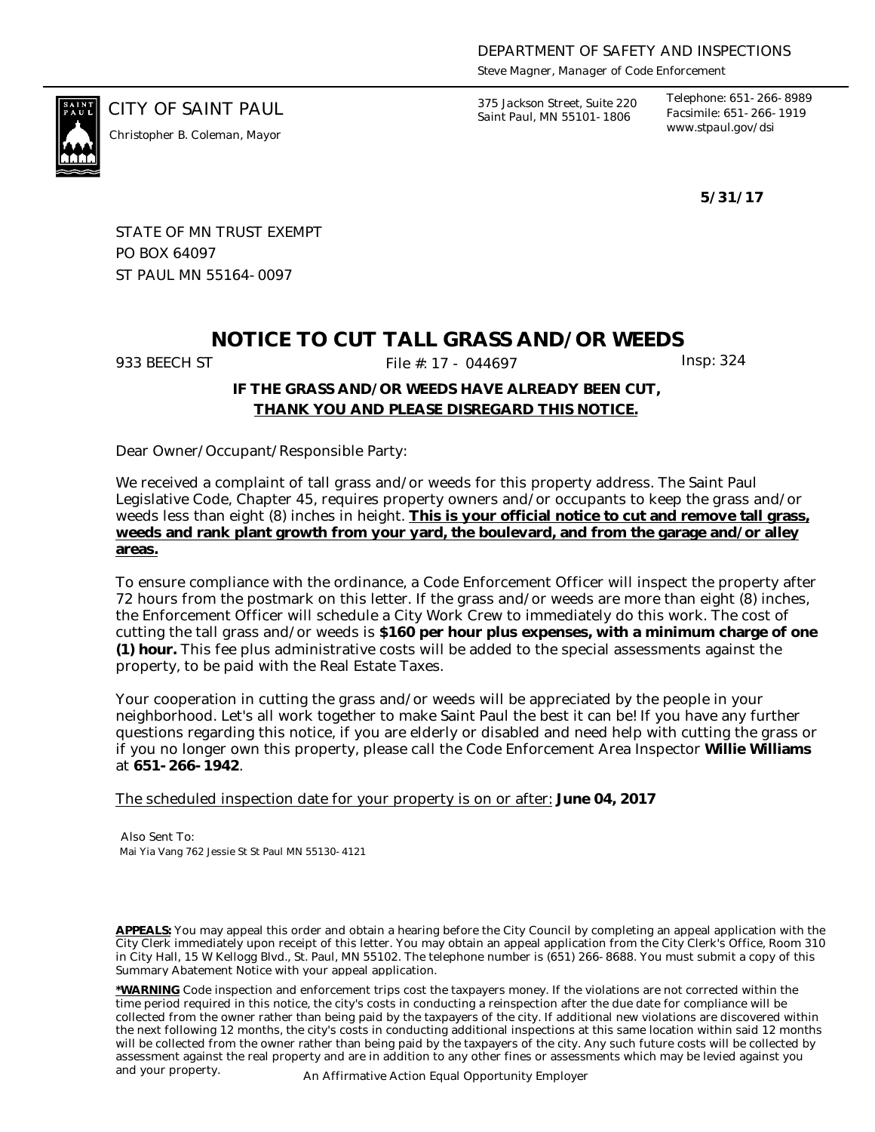*Steve Magner, Manager of Code Enforcement*

*www.stpaul.gov/dsi Christopher B. Coleman, Mayor*

CITY OF SAINT PAUL *375 Jackson Street, Suite 220 Saint Paul, MN 55101-1806*

*Telephone: 651-266-8989 Facsimile: 651-266-1919*

**5/31/17**

STATE OF MN TRUST EXEMPT PO BOX 64097 ST PAUL MN 55164-0097

# **NOTICE TO CUT TALL GRASS AND/OR WEEDS**

933 BEECH ST File #: 17 - 044697 Insp: 324

### **IF THE GRASS AND/OR WEEDS HAVE ALREADY BEEN CUT, THANK YOU AND PLEASE DISREGARD THIS NOTICE.**

Dear Owner/Occupant/Responsible Party:

We received a complaint of tall grass and/or weeds for this property address. The Saint Paul Legislative Code, Chapter 45, requires property owners and/or occupants to keep the grass and/or weeds less than eight (8) inches in height. **This is your official notice to cut and remove tall grass, weeds and rank plant growth from your yard, the boulevard, and from the garage and/or alley areas.**

To ensure compliance with the ordinance, a Code Enforcement Officer will inspect the property after 72 hours from the postmark on this letter. If the grass and/or weeds are more than eight (8) inches, the Enforcement Officer will schedule a City Work Crew to immediately do this work. The cost of cutting the tall grass and/or weeds is **\$160 per hour plus expenses, with a minimum charge of one (1) hour.** This fee plus administrative costs will be added to the special assessments against the property, to be paid with the Real Estate Taxes.

Your cooperation in cutting the grass and/or weeds will be appreciated by the people in your neighborhood. Let's all work together to make Saint Paul the best it can be! If you have any further questions regarding this notice, if you are elderly or disabled and need help with cutting the grass or if you no longer own this property, please call the Code Enforcement Area Inspector **Willie Williams** at **651-266-1942**.

The scheduled inspection date for your property is on or after: **June 04, 2017**

Also Sent To: Mai Yia Vang 762 Jessie St St Paul MN 55130-4121

**APPEALS:** You may appeal this order and obtain a hearing before the City Council by completing an appeal application with the City Clerk immediately upon receipt of this letter. You may obtain an appeal application from the City Clerk's Office, Room 310 in City Hall, 15 W Kellogg Blvd., St. Paul, MN 55102. The telephone number is (651) 266-8688. You must submit a copy of this Summary Abatement Notice with your appeal application.

**\*WARNING** Code inspection and enforcement trips cost the taxpayers money. If the violations are not corrected within the time period required in this notice, the city's costs in conducting a reinspection after the due date for compliance will be collected from the owner rather than being paid by the taxpayers of the city. If additional new violations are discovered within the next following 12 months, the city's costs in conducting additional inspections at this same location within said 12 months will be collected from the owner rather than being paid by the taxpayers of the city. Any such future costs will be collected by assessment against the real property and are in addition to any other fines or assessments which may be levied against you and your property. An Affirmative Action Equal Opportunity Employer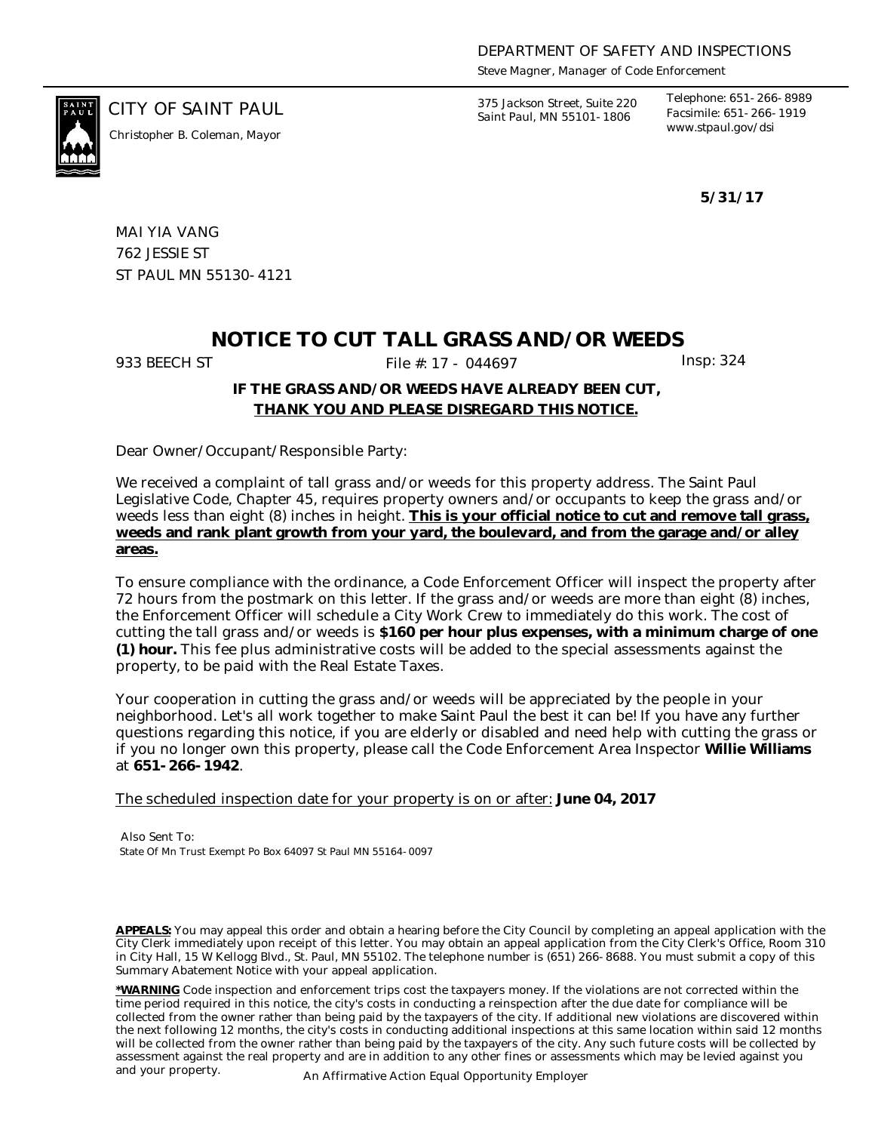*Steve Magner, Manager of Code Enforcement*

*www.stpaul.gov/dsi Christopher B. Coleman, Mayor*

CITY OF SAINT PAUL *375 Jackson Street, Suite 220 Saint Paul, MN 55101-1806*

*Telephone: 651-266-8989 Facsimile: 651-266-1919*

**5/31/17**

MAI YIA VANG 762 JESSIE ST ST PAUL MN 55130-4121

## **NOTICE TO CUT TALL GRASS AND/OR WEEDS**

933 BEECH ST File #: 17 - 044697 Insp: 324

#### **IF THE GRASS AND/OR WEEDS HAVE ALREADY BEEN CUT, THANK YOU AND PLEASE DISREGARD THIS NOTICE.**

Dear Owner/Occupant/Responsible Party:

We received a complaint of tall grass and/or weeds for this property address. The Saint Paul Legislative Code, Chapter 45, requires property owners and/or occupants to keep the grass and/or weeds less than eight (8) inches in height. **This is your official notice to cut and remove tall grass, weeds and rank plant growth from your yard, the boulevard, and from the garage and/or alley areas.**

To ensure compliance with the ordinance, a Code Enforcement Officer will inspect the property after 72 hours from the postmark on this letter. If the grass and/or weeds are more than eight (8) inches, the Enforcement Officer will schedule a City Work Crew to immediately do this work. The cost of cutting the tall grass and/or weeds is **\$160 per hour plus expenses, with a minimum charge of one (1) hour.** This fee plus administrative costs will be added to the special assessments against the property, to be paid with the Real Estate Taxes.

Your cooperation in cutting the grass and/or weeds will be appreciated by the people in your neighborhood. Let's all work together to make Saint Paul the best it can be! If you have any further questions regarding this notice, if you are elderly or disabled and need help with cutting the grass or if you no longer own this property, please call the Code Enforcement Area Inspector **Willie Williams** at **651-266-1942**.

The scheduled inspection date for your property is on or after: **June 04, 2017**

Also Sent To: State Of Mn Trust Exempt Po Box 64097 St Paul MN 55164-0097

**APPEALS:** You may appeal this order and obtain a hearing before the City Council by completing an appeal application with the City Clerk immediately upon receipt of this letter. You may obtain an appeal application from the City Clerk's Office, Room 310 in City Hall, 15 W Kellogg Blvd., St. Paul, MN 55102. The telephone number is (651) 266-8688. You must submit a copy of this Summary Abatement Notice with your appeal application.

**\*WARNING** Code inspection and enforcement trips cost the taxpayers money. If the violations are not corrected within the time period required in this notice, the city's costs in conducting a reinspection after the due date for compliance will be collected from the owner rather than being paid by the taxpayers of the city. If additional new violations are discovered within the next following 12 months, the city's costs in conducting additional inspections at this same location within said 12 months will be collected from the owner rather than being paid by the taxpayers of the city. Any such future costs will be collected by assessment against the real property and are in addition to any other fines or assessments which may be levied against you and your property. An Affirmative Action Equal Opportunity Employer